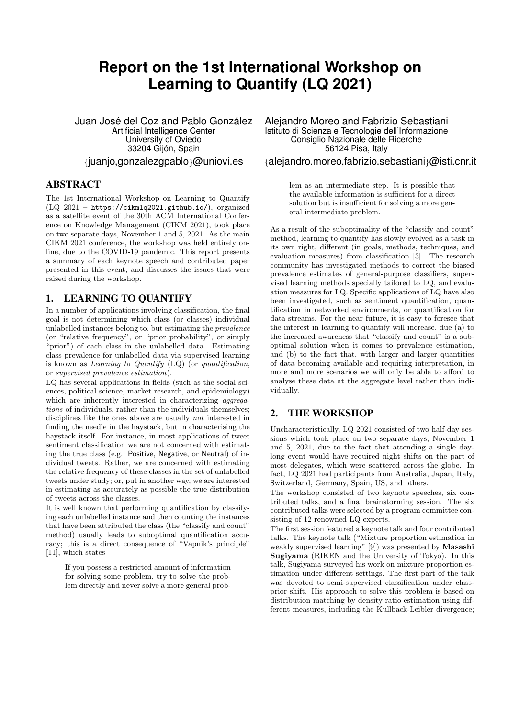# **Report on the 1st International Workshop on Learning to Quantify (LQ 2021)**

Juan José del Coz and Pablo González Artificial Intelligence Center University of Oviedo 33204 Gijón, Spain {juanjo,gonzalezgpablo}@uniovi.es

#### ABSTRACT

The 1st International Workshop on Learning to Quantify (LQ 2021 – https://cikmlq2021.github.io/), organized as a satellite event of the 30th ACM International Conference on Knowledge Management (CIKM 2021), took place on two separate days, November 1 and 5, 2021. As the main CIKM 2021 conference, the workshop was held entirely online, due to the COVID-19 pandemic. This report presents a summary of each keynote speech and contributed paper presented in this event, and discusses the issues that were raised during the workshop.

## 1. LEARNING TO QUANTIFY

In a number of applications involving classification, the final goal is not determining which class (or classes) individual unlabelled instances belong to, but estimating the prevalence (or "relative frequency", or "prior probability", or simply "prior") of each class in the unlabelled data. Estimating class prevalence for unlabelled data via supervised learning is known as *Learning to Quantify*  $(LQ)$  (or *quantification*, or supervised prevalence estimation).

LQ has several applications in fields (such as the social sciences, political science, market research, and epidemiology) which are inherently interested in characterizing *aggrega*tions of individuals, rather than the individuals themselves; disciplines like the ones above are usually not interested in finding the needle in the haystack, but in characterising the haystack itself. For instance, in most applications of tweet sentiment classification we are not concerned with estimating the true class (e.g., Positive, Negative, or Neutral) of individual tweets. Rather, we are concerned with estimating the relative frequency of these classes in the set of unlabelled tweets under study; or, put in another way, we are interested in estimating as accurately as possible the true distribution of tweets across the classes.

It is well known that performing quantification by classifying each unlabelled instance and then counting the instances that have been attributed the class (the "classify and count" method) usually leads to suboptimal quantification accuracy; this is a direct consequence of "Vapnik's principle" [11], which states

If you possess a restricted amount of information for solving some problem, try to solve the problem directly and never solve a more general probAlejandro Moreo and Fabrizio Sebastiani Istituto di Scienza e Tecnologie dell'Informazione Consiglio Nazionale delle Ricerche 56124 Pisa, Italy

{alejandro.moreo,fabrizio.sebastiani}@isti.cnr.it

lem as an intermediate step. It is possible that the available information is sufficient for a direct solution but is insufficient for solving a more general intermediate problem.

As a result of the suboptimality of the "classify and count" method, learning to quantify has slowly evolved as a task in its own right, different (in goals, methods, techniques, and evaluation measures) from classification [3]. The research community has investigated methods to correct the biased prevalence estimates of general-purpose classifiers, supervised learning methods specially tailored to LQ, and evaluation measures for LQ. Specific applications of LQ have also been investigated, such as sentiment quantification, quantification in networked environments, or quantification for data streams. For the near future, it is easy to foresee that the interest in learning to quantify will increase, due (a) to the increased awareness that "classify and count" is a suboptimal solution when it comes to prevalence estimation, and (b) to the fact that, with larger and larger quantities of data becoming available and requiring interpretation, in more and more scenarios we will only be able to afford to analyse these data at the aggregate level rather than individually.

## 2. THE WORKSHOP

Uncharacteristically, LQ 2021 consisted of two half-day sessions which took place on two separate days, November 1 and 5, 2021, due to the fact that attending a single daylong event would have required night shifts on the part of most delegates, which were scattered across the globe. In fact, LQ 2021 had participants from Australia, Japan, Italy, Switzerland, Germany, Spain, US, and others.

The workshop consisted of two keynote speeches, six contributed talks, and a final brainstorming session. The six contributed talks were selected by a program committee consisting of 12 renowned LQ experts.

The first session featured a keynote talk and four contributed talks. The keynote talk ("Mixture proportion estimation in weakly supervised learning" [9]) was presented by Masashi Sugiyama (RIKEN and the University of Tokyo). In this talk, Sugiyama surveyed his work on mixture proportion estimation under different settings. The first part of the talk was devoted to semi-supervised classification under classprior shift. His approach to solve this problem is based on distribution matching by density ratio estimation using different measures, including the Kullback-Leibler divergence;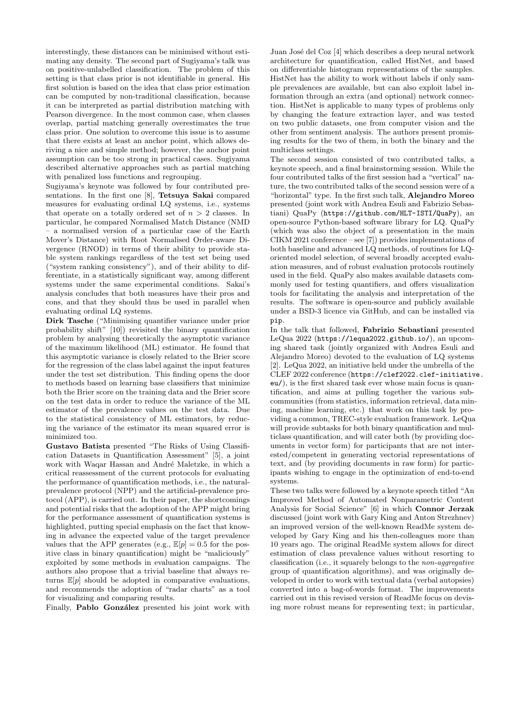interestingly, these distances can be minimised without estimating any density. The second part of Sugiyama's talk was on positive-unlabelled classification. The problem of this setting is that class prior is not identifiable in general. His first solution is based on the idea that class prior estimation can be computed by non-traditional classification, because it can be interpreted as partial distribution matching with Pearson divergence. In the most common case, when classes overlap, partial matching generally overestimates the true class prior. One solution to overcome this issue is to assume that there exists at least an anchor point, which allows deriving a nice and simple method; however, the anchor point assumption can be too strong in practical cases. Sugiyama described alternative approaches such as partial matching with penalized loss functions and regrouping.

Sugiyama's keynote was followed by four contributed presentations. In the first one [8], Tetsuya Sakai compared measures for evaluating ordinal LQ systems, i.e., systems that operate on a totally ordered set of  $n > 2$  classes. In particular, he compared Normalised Match Distance (NMD – a normalised version of a particular case of the Earth Mover's Distance) with Root Normalised Order-aware Divergence (RNOD) in terms of their ability to provide stable system rankings regardless of the test set being used ("system ranking consistency"), and of their ability to differentiate, in a statistically significant way, among different systems under the same experimental conditions. Sakai's analysis concludes that both measures have their pros and cons, and that they should thus be used in parallel when evaluating ordinal LQ systems.

Dirk Tasche ("Minimising quantifier variance under prior probability shift" [10]) revisited the binary quantification problem by analysing theoretically the asymptotic variance of the maximum likelihood (ML) estimator. He found that this asymptotic variance is closely related to the Brier score for the regression of the class label against the input features under the test set distribution. This finding opens the door to methods based on learning base classifiers that minimize both the Brier score on the training data and the Brier score on the test data in order to reduce the variance of the ML estimator of the prevalence values on the test data. Due to the statistical consistency of ML estimators, by reducing the variance of the estimator its mean squared error is minimized too.

Gustavo Batista presented "The Risks of Using Classification Datasets in Quantification Assessment" [5], a joint work with Waqar Hassan and André Maletzke, in which a critical reassessment of the current protocols for evaluating the performance of quantification methods, i.e., the naturalprevalence protocol (NPP) and the artificial-prevalence protocol (APP), is carried out. In their paper, the shortcomings and potential risks that the adoption of the APP might bring for the performance assessment of quantification systems is highlighted, putting special emphasis on the fact that knowing in advance the expected value of the target prevalence values that the APP generates (e.g.,  $\mathbb{E}[p] = 0.5$  for the positive class in binary quantification) might be "maliciously" exploited by some methods in evaluation campaigns. The authors also propose that a trivial baseline that always returns  $\mathbb{E}[p]$  should be adopted in comparative evaluations, and recommends the adoption of "radar charts" as a tool for visualizing and comparing results.

Finally, Pablo González presented his joint work with

Juan José del Coz [4] which describes a deep neural network architecture for quantification, called HistNet, and based on differentiable histogram representations of the samples. HistNet has the ability to work without labels if only sample prevalences are available, but can also exploit label information through an extra (and optional) network connection. HistNet is applicable to many types of problems only by changing the feature extraction layer, and was tested on two public datasets, one from computer vision and the other from sentiment analysis. The authors present promising results for the two of them, in both the binary and the multiclass settings.

The second session consisted of two contributed talks, a keynote speech, and a final brainstorming session. While the four contributed talks of the first session had a "vertical" nature, the two contributed talks of the second session were of a "horizontal" type. In the first such talk, Alejandro Moreo presented (joint work with Andrea Esuli and Fabrizio Sebastiani) QuaPy (https://github.com/HLT-ISTI/QuaPy), an open-source Python-based software library for LQ. QuaPy (which was also the object of a presentation in the main CIKM 2021 conference – see [7]) provides implementations of both baseline and advanced LQ methods, of routines for LQoriented model selection, of several broadly accepted evaluation measures, and of robust evaluation protocols routinely used in the field. QuaPy also makes available datasets commonly used for testing quantifiers, and offers visualization tools for facilitating the analysis and interpretation of the results. The software is open-source and publicly available under a BSD-3 licence via GitHub, and can be installed via pip.

In the talk that followed, Fabrizio Sebastiani presented LeQua 2022 (https://lequa2022.github.io/), an upcoming shared task (jointly organized with Andrea Esuli and Alejandro Moreo) devoted to the evaluation of LQ systems [2]. LeQua 2022, an initiative held under the umbrella of the CLEF 2022 conference (https://clef2022.clef-initiative. eu/), is the first shared task ever whose main focus is quantification, and aims at pulling together the various subcommunities (from statistics, information retrieval, data mining, machine learning, etc.) that work on this task by providing a common, TREC-style evaluation framework. LeQua will provide subtasks for both binary quantification and multiclass quantification, and will cater both (by providing documents in vector form) for participants that are not interested/competent in generating vectorial representations of text, and (by providing documents in raw form) for participants wishing to engage in the optimization of end-to-end systems.

These two talks were followed by a keynote speech titled "An Improved Method of Automated Nonparametric Content Analysis for Social Science" [6] in which Connor Jerzak discussed (joint work with Gary King and Anton Strezhnev) an improved version of the well-known ReadMe system developed by Gary King and his then-colleagues more than 10 years ago. The original ReadMe system allows for direct estimation of class prevalence values without resorting to classification (i.e., it squarely belongs to the non-aggregative group of quantification algorithms), and was originally developed in order to work with textual data (verbal autopsies) converted into a bag-of-words format. The improvements carried out in this revised version of ReadMe focus on devising more robust means for representing text; in particular,